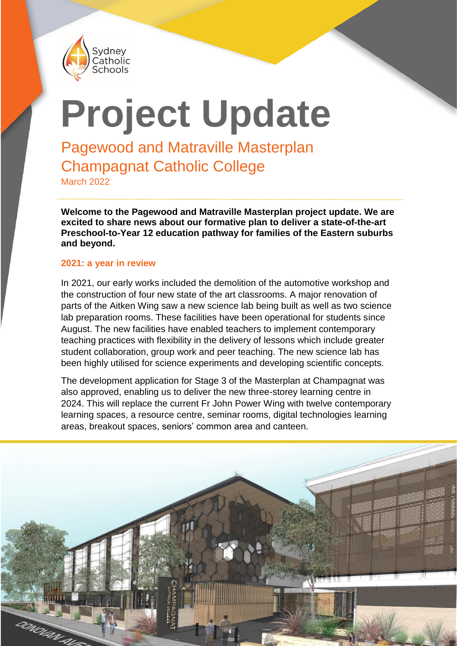

# **Project Update**

Pagewood and Matraville Masterplan Champagnat Catholic College

March 2022

**Welcome to the Pagewood and Matraville Masterplan project update. We are excited to share news about our formative plan to deliver a state-of-the-art Preschool-to-Year 12 education pathway for families of the Eastern suburbs and beyond.**

#### **2021: a year in review**

In 2021, our early works included the demolition of the automotive workshop and the construction of four new state of the art classrooms. A major renovation of parts of the Aitken Wing saw a new science lab being built as well as two science lab preparation rooms. These facilities have been operational for students since August. The new facilities have enabled teachers to implement contemporary teaching practices with flexibility in the delivery of lessons which include greater student collaboration, group work and peer teaching. The new science lab has been highly utilised for science experiments and developing scientific concepts.

The development application for Stage 3 of the Masterplan at Champagnat was also approved, enabling us to deliver the new three-storey learning centre in 2024. This will replace the current Fr John Power Wing with twelve contemporary learning spaces, a resource centre, seminar rooms, digital technologies learning areas, breakout spaces, seniors' common area and canteen.